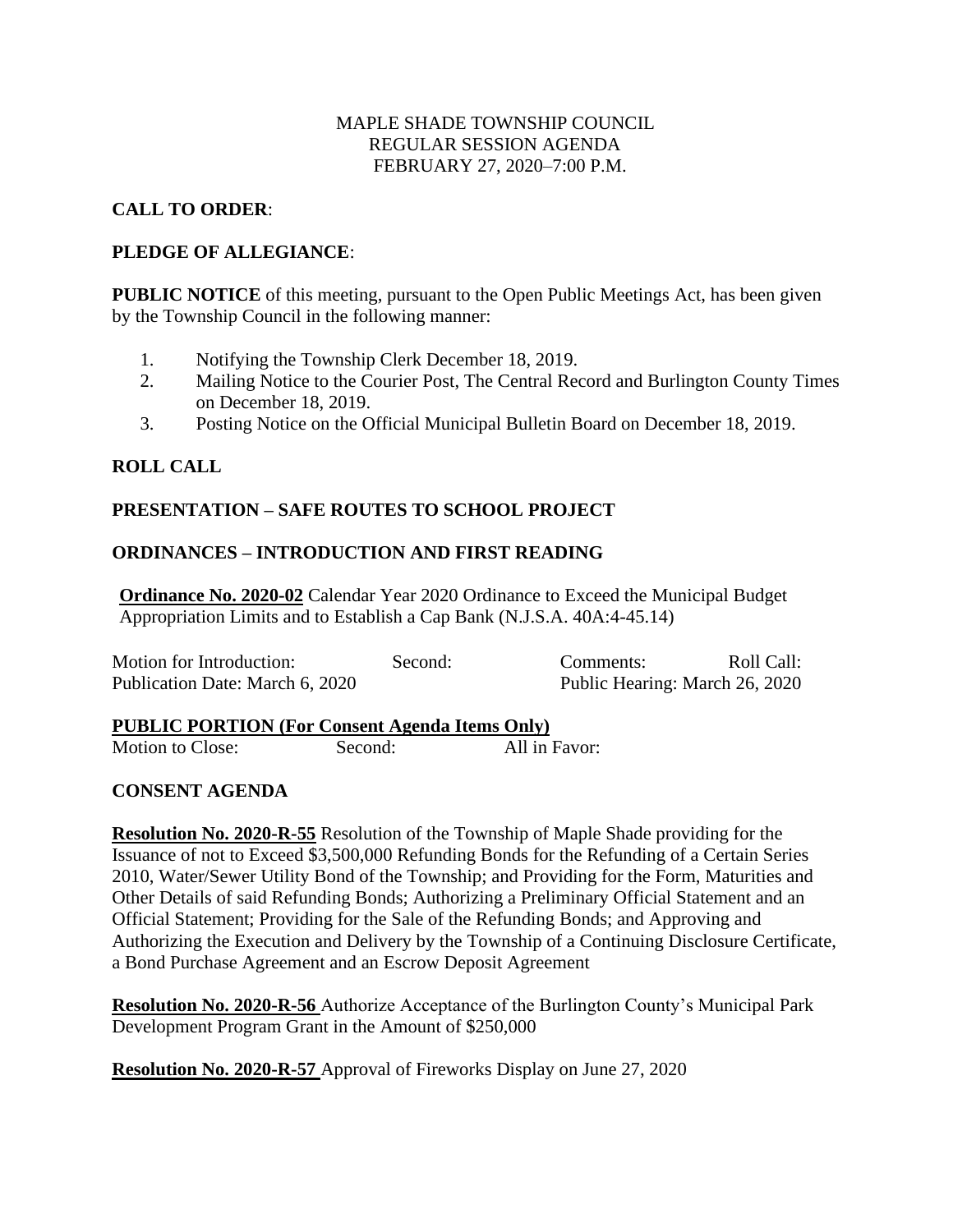## MAPLE SHADE TOWNSHIP COUNCIL REGULAR SESSION AGENDA FEBRUARY 27, 2020–7:00 P.M.

# **CALL TO ORDER**:

## **PLEDGE OF ALLEGIANCE**:

**PUBLIC NOTICE** of this meeting, pursuant to the Open Public Meetings Act, has been given by the Township Council in the following manner:

- 1. Notifying the Township Clerk December 18, 2019.
- 2. Mailing Notice to the Courier Post, The Central Record and Burlington County Times on December 18, 2019.
- 3. Posting Notice on the Official Municipal Bulletin Board on December 18, 2019.

## **ROLL CALL**

## **PRESENTATION – SAFE ROUTES TO SCHOOL PROJECT**

## **ORDINANCES – INTRODUCTION AND FIRST READING**

**Ordinance No. 2020-02** Calendar Year 2020 Ordinance to Exceed the Municipal Budget Appropriation Limits and to Establish a Cap Bank (N.J.S.A. 40A:4-45.14)

| Motion for Introduction:        | Second: | Comments: | Roll Call:                     |
|---------------------------------|---------|-----------|--------------------------------|
| Publication Date: March 6, 2020 |         |           | Public Hearing: March 26, 2020 |
| ---- <i>----</i> ---------      |         |           |                                |

### **PUBLIC PORTION (For Consent Agenda Items Only)**

Motion to Close: Second: All in Favor:

## **CONSENT AGENDA**

**Resolution No. 2020-R-55** Resolution of the Township of Maple Shade providing for the Issuance of not to Exceed \$3,500,000 Refunding Bonds for the Refunding of a Certain Series 2010, Water/Sewer Utility Bond of the Township; and Providing for the Form, Maturities and Other Details of said Refunding Bonds; Authorizing a Preliminary Official Statement and an Official Statement; Providing for the Sale of the Refunding Bonds; and Approving and Authorizing the Execution and Delivery by the Township of a Continuing Disclosure Certificate, a Bond Purchase Agreement and an Escrow Deposit Agreement

**Resolution No. 2020-R-56** Authorize Acceptance of the Burlington County's Municipal Park Development Program Grant in the Amount of \$250,000

**Resolution No. 2020-R-57** Approval of Fireworks Display on June 27, 2020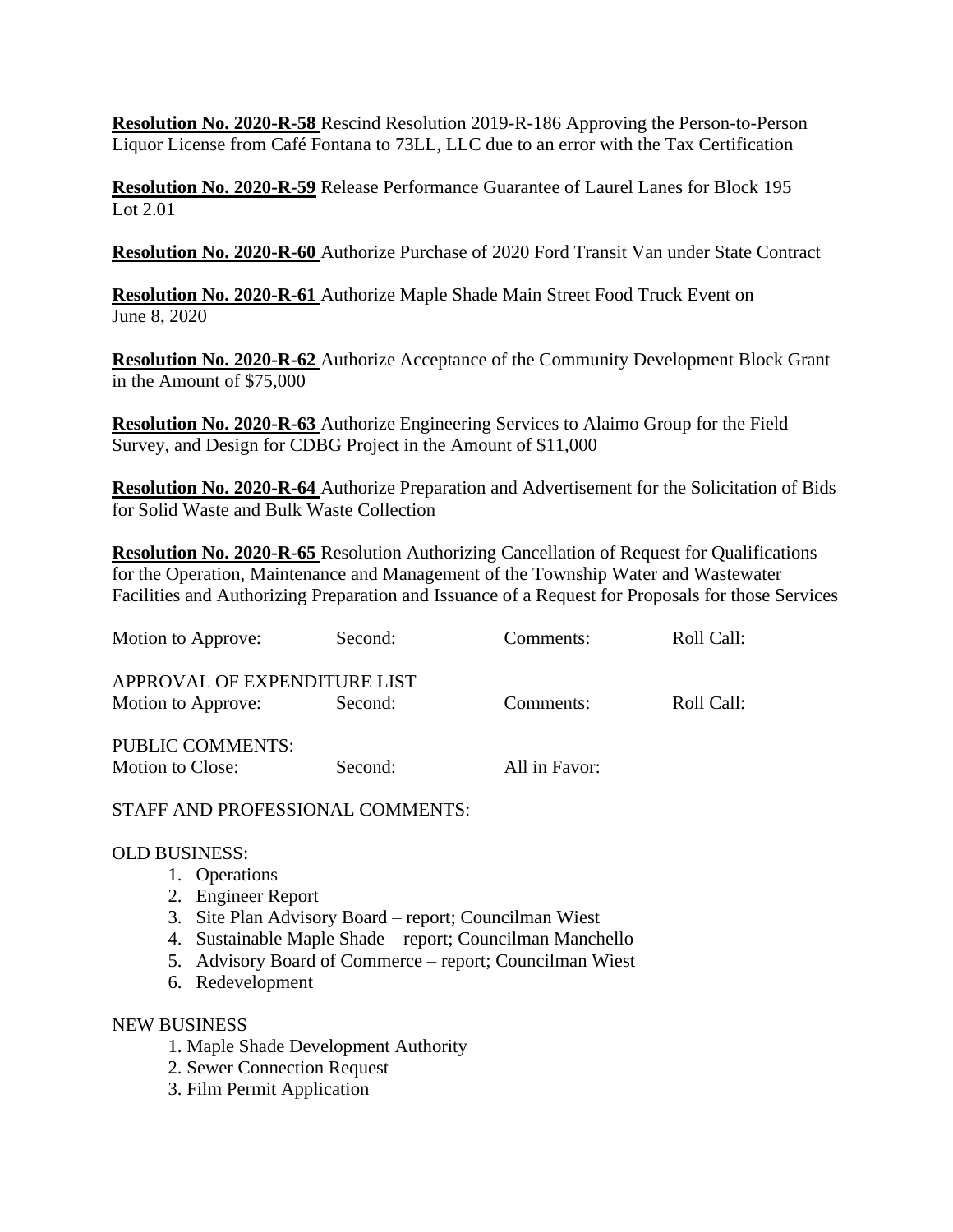**Resolution No. 2020-R-58** Rescind Resolution 2019-R-186 Approving the Person-to-Person Liquor License from Café Fontana to 73LL, LLC due to an error with the Tax Certification

**Resolution No. 2020-R-59** Release Performance Guarantee of Laurel Lanes for Block 195 Lot 2.01

**Resolution No. 2020-R-60** Authorize Purchase of 2020 Ford Transit Van under State Contract

**Resolution No. 2020-R-61** Authorize Maple Shade Main Street Food Truck Event on June 8, 2020

**Resolution No. 2020-R-62** Authorize Acceptance of the Community Development Block Grant in the Amount of \$75,000

**Resolution No. 2020-R-63** Authorize Engineering Services to Alaimo Group for the Field Survey, and Design for CDBG Project in the Amount of \$11,000

**Resolution No. 2020-R-64** Authorize Preparation and Advertisement for the Solicitation of Bids for Solid Waste and Bulk Waste Collection

**Resolution No. 2020-R-65** Resolution Authorizing Cancellation of Request for Qualifications for the Operation, Maintenance and Management of the Township Water and Wastewater Facilities and Authorizing Preparation and Issuance of a Request for Proposals for those Services

| Motion to Approve:                                 | Second: | Comments:     | Roll Call: |
|----------------------------------------------------|---------|---------------|------------|
| APPROVAL OF EXPENDITURE LIST<br>Motion to Approve: | Second: | Comments:     | Roll Call: |
| <b>PUBLIC COMMENTS:</b><br><b>Motion to Close:</b> | Second: | All in Favor: |            |

### STAFF AND PROFESSIONAL COMMENTS:

### OLD BUSINESS:

- 1. Operations
- 2. Engineer Report
- 3. Site Plan Advisory Board report; Councilman Wiest
- 4. Sustainable Maple Shade report; Councilman Manchello
- 5. Advisory Board of Commerce report; Councilman Wiest
- 6. Redevelopment

#### NEW BUSINESS

- 1. Maple Shade Development Authority
- 2. Sewer Connection Request
- 3. Film Permit Application